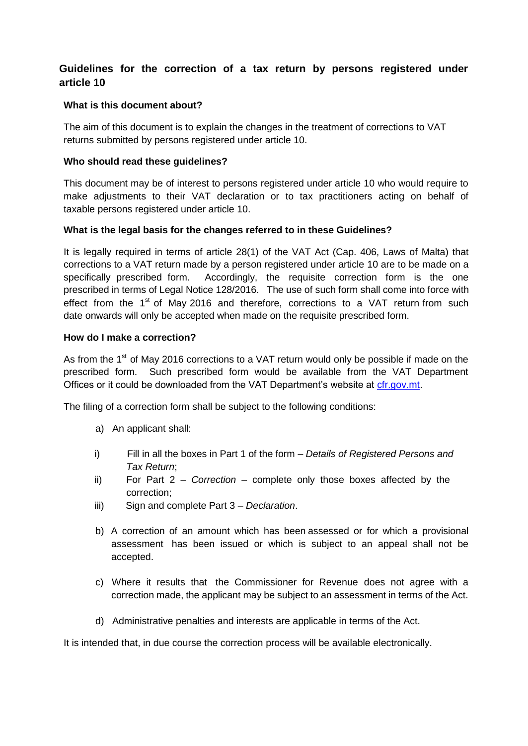# **Guidelines for the correction of a tax return by persons registered under article 10**

## **What is this document about?**

The aim of this document is to explain the changes in the treatment of corrections to VAT returns submitted by persons registered under article 10.

# **Who should read these guidelines?**

This document may be of interest to persons registered under article 10 who would require to make adjustments to their VAT declaration or to tax practitioners acting on behalf of taxable persons registered under article 10.

# **What is the legal basis for the changes referred to in these Guidelines?**

It is legally required in terms of article 28(1) of the VAT Act (Cap. 406, Laws of Malta) that corrections to a VAT return made by a person registered under article 10 are to be made on a specifically prescribed form. Accordingly, the requisite correction form is the one prescribed in terms of Legal Notice 128/2016. The use of such form shall come into force with effect from the  $1<sup>st</sup>$  of May 2016 and therefore, corrections to a VAT return from such date onwards will only be accepted when made on the requisite prescribed form.

## **How do I make a correction?**

As from the  $1<sup>st</sup>$  of May 2016 corrections to a VAT return would only be possible if made on the prescribed form. Such prescribed form would be available from the VAT Department Offices or it could be downloaded from the VAT Department's website at [cfr.gov.mt.](http://vat.gov.mt/en/Downloads/VAT-Forms/Pages/VAT-downloads.aspx)

The filing of a correction form shall be subject to the following conditions:

- a) An applicant shall:
- i) Fill in all the boxes in Part 1 of the form *Details of Registered Persons and Tax Return*;
- ii) For Part 2 *Correction*  complete only those boxes affected by the correction;
- iii) Sign and complete Part 3 *Declaration*.
- b) A correction of an amount which has been assessed or for which a provisional assessment has been issued or which is subject to an appeal shall not be accepted.
- c) Where it results that the Commissioner for Revenue does not agree with a correction made, the applicant may be subject to an assessment in terms of the Act.
- d) Administrative penalties and interests are applicable in terms of the Act.

It is intended that, in due course the correction process will be available electronically.